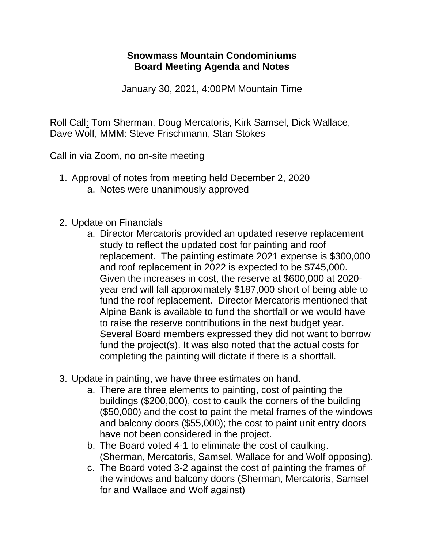## **Snowmass Mountain Condominiums Board Meeting Agenda and Notes**

January 30, 2021, 4:00PM Mountain Time

Roll Call: Tom Sherman, Doug Mercatoris, Kirk Samsel, Dick Wallace, Dave Wolf, MMM: Steve Frischmann, Stan Stokes

Call in via Zoom, no on-site meeting

- 1. Approval of notes from meeting held December 2, 2020 a. Notes were unanimously approved
- 2. Update on Financials
	- a. Director Mercatoris provided an updated reserve replacement study to reflect the updated cost for painting and roof replacement. The painting estimate 2021 expense is \$300,000 and roof replacement in 2022 is expected to be \$745,000. Given the increases in cost, the reserve at \$600,000 at 2020 year end will fall approximately \$187,000 short of being able to fund the roof replacement. Director Mercatoris mentioned that Alpine Bank is available to fund the shortfall or we would have to raise the reserve contributions in the next budget year. Several Board members expressed they did not want to borrow fund the project(s). It was also noted that the actual costs for completing the painting will dictate if there is a shortfall.
- 3. Update in painting, we have three estimates on hand.
	- a. There are three elements to painting, cost of painting the buildings (\$200,000), cost to caulk the corners of the building (\$50,000) and the cost to paint the metal frames of the windows and balcony doors (\$55,000); the cost to paint unit entry doors have not been considered in the project.
	- b. The Board voted 4-1 to eliminate the cost of caulking. (Sherman, Mercatoris, Samsel, Wallace for and Wolf opposing).
	- c. The Board voted 3-2 against the cost of painting the frames of the windows and balcony doors (Sherman, Mercatoris, Samsel for and Wallace and Wolf against)